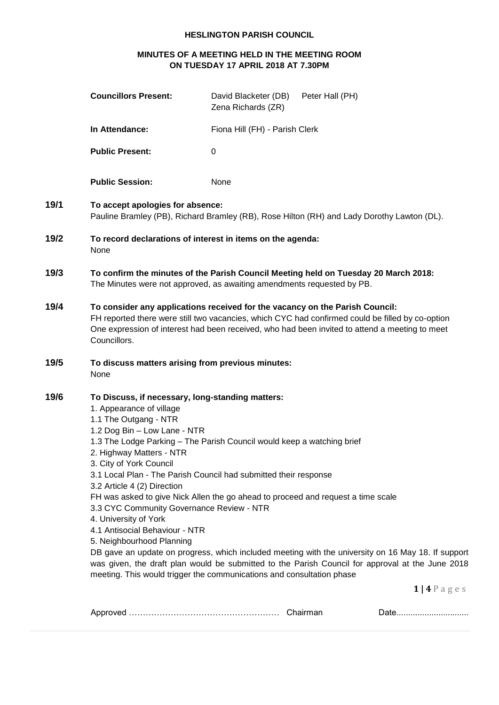# **HESLINGTON PARISH COUNCIL**

# **MINUTES OF A MEETING HELD IN THE MEETING ROOM ON TUESDAY 17 APRIL 2018 AT 7.30PM**

|      | <b>Councillors Present:</b>                                                                                                                                                                                                                                                                                                                                      | David Blacketer (DB)<br>Zena Richards (ZR)                                                                                                                                                                                                                                                              | Peter Hall (PH) |                                                                                                                                                                                                                             |
|------|------------------------------------------------------------------------------------------------------------------------------------------------------------------------------------------------------------------------------------------------------------------------------------------------------------------------------------------------------------------|---------------------------------------------------------------------------------------------------------------------------------------------------------------------------------------------------------------------------------------------------------------------------------------------------------|-----------------|-----------------------------------------------------------------------------------------------------------------------------------------------------------------------------------------------------------------------------|
|      | In Attendance:                                                                                                                                                                                                                                                                                                                                                   | Fiona Hill (FH) - Parish Clerk                                                                                                                                                                                                                                                                          |                 |                                                                                                                                                                                                                             |
|      | <b>Public Present:</b>                                                                                                                                                                                                                                                                                                                                           | 0                                                                                                                                                                                                                                                                                                       |                 |                                                                                                                                                                                                                             |
|      | <b>Public Session:</b>                                                                                                                                                                                                                                                                                                                                           | None                                                                                                                                                                                                                                                                                                    |                 |                                                                                                                                                                                                                             |
| 19/1 | To accept apologies for absence:<br>Pauline Bramley (PB), Richard Bramley (RB), Rose Hilton (RH) and Lady Dorothy Lawton (DL).                                                                                                                                                                                                                                   |                                                                                                                                                                                                                                                                                                         |                 |                                                                                                                                                                                                                             |
| 19/2 | None                                                                                                                                                                                                                                                                                                                                                             | To record declarations of interest in items on the agenda:                                                                                                                                                                                                                                              |                 |                                                                                                                                                                                                                             |
| 19/3 | To confirm the minutes of the Parish Council Meeting held on Tuesday 20 March 2018:<br>The Minutes were not approved, as awaiting amendments requested by PB.                                                                                                                                                                                                    |                                                                                                                                                                                                                                                                                                         |                 |                                                                                                                                                                                                                             |
| 19/4 | To consider any applications received for the vacancy on the Parish Council:<br>FH reported there were still two vacancies, which CYC had confirmed could be filled by co-option<br>One expression of interest had been received, who had been invited to attend a meeting to meet<br>Councillors.                                                               |                                                                                                                                                                                                                                                                                                         |                 |                                                                                                                                                                                                                             |
| 19/5 | To discuss matters arising from previous minutes:<br>None                                                                                                                                                                                                                                                                                                        |                                                                                                                                                                                                                                                                                                         |                 |                                                                                                                                                                                                                             |
| 19/6 | To Discuss, if necessary, long-standing matters:<br>1. Appearance of village<br>1.1 The Outgang - NTR<br>1.2 Dog Bin - Low Lane - NTR<br>2. Highway Matters - NTR<br>3. City of York Council<br>3.2 Article 4 (2) Direction<br>3.3 CYC Community Governance Review - NTR<br>4. University of York<br>4.1 Antisocial Behaviour - NTR<br>5. Neighbourhood Planning | 1.3 The Lodge Parking - The Parish Council would keep a watching brief<br>3.1 Local Plan - The Parish Council had submitted their response<br>FH was asked to give Nick Allen the go ahead to proceed and request a time scale<br>meeting. This would trigger the communications and consultation phase |                 | DB gave an update on progress, which included meeting with the university on 16 May 18. If support<br>was given, the draft plan would be submitted to the Parish Council for approval at the June 2018<br>$1   4 P$ a g e s |
|      |                                                                                                                                                                                                                                                                                                                                                                  |                                                                                                                                                                                                                                                                                                         |                 | Date                                                                                                                                                                                                                        |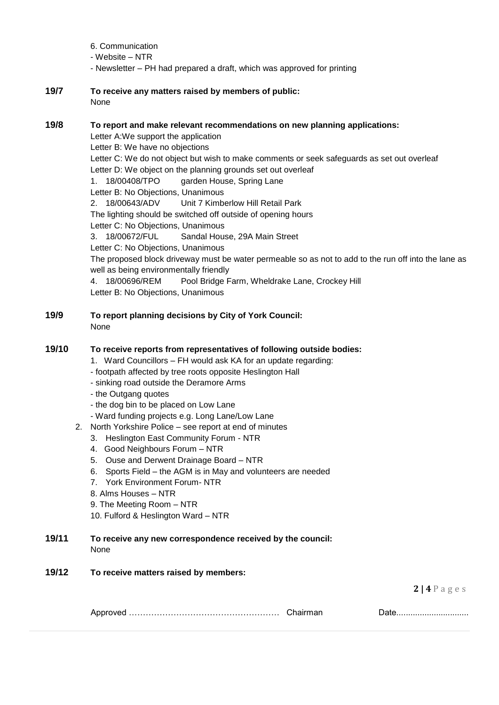- 6. Communication
- Website NTR
- Newsletter PH had prepared a draft, which was approved for printing
- **19/7 To receive any matters raised by members of public:**  None

### **19/8 To report and make relevant recommendations on new planning applications:**

Letter A:We support the application Letter B: We have no objections Letter C: We do not object but wish to make comments or seek safeguards as set out overleaf Letter D: We object on the planning grounds set out overleaf 1. 18/00408/TPO garden House, Spring Lane Letter B: No Objections, Unanimous 2. 18/00643/ADV Unit 7 Kimberlow Hill Retail Park The lighting should be switched off outside of opening hours Letter C: No Objections, Unanimous 3. 18/00672/FUL Sandal House, 29A Main Street Letter C: No Objections, Unanimous The proposed block driveway must be water permeable so as not to add to the run off into the lane as well as being environmentally friendly 4. 18/00696/REM Pool Bridge Farm, Wheldrake Lane, Crockey Hill Letter B: No Objections, Unanimous

**19/9 To report planning decisions by City of York Council:** None

## **19/10 To receive reports from representatives of following outside bodies:**

- 1. Ward Councillors FH would ask KA for an update regarding:
- footpath affected by tree roots opposite Heslington Hall
- sinking road outside the Deramore Arms
- the Outgang quotes
- the dog bin to be placed on Low Lane
- Ward funding projects e.g. Long Lane/Low Lane
- 2. North Yorkshire Police see report at end of minutes
	- 3. Heslington East Community Forum NTR
	- 4. Good Neighbours Forum NTR
	- 5. Ouse and Derwent Drainage Board NTR
	- 6. Sports Field the AGM is in May and volunteers are needed
	- 7. York Environment Forum- NTR
	- 8. Alms Houses NTR
	- 9. The Meeting Room NTR
	- 10. Fulford & Heslington Ward NTR

#### **19/11 To receive any new correspondence received by the council:** None

**19/12 To receive matters raised by members:**

**2 | 4** P a g e s

| ,,,,, |  |
|-------|--|
|-------|--|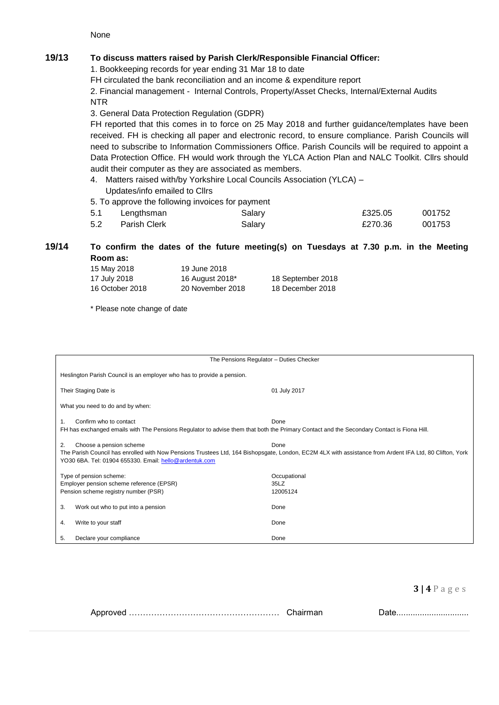None

# **19/13 To discuss matters raised by Parish Clerk/Responsible Financial Officer:**

1. Bookkeeping records for year ending 31 Mar 18 to date

FH circulated the bank reconciliation and an income & expenditure report

2. Financial management - Internal Controls, Property/Asset Checks, Internal/External Audits NTR

3. General Data Protection Regulation (GDPR)

FH reported that this comes in to force on 25 May 2018 and further guidance/templates have been received. FH is checking all paper and electronic record, to ensure compliance. Parish Councils will need to subscribe to Information Commissioners Office. Parish Councils will be required to appoint a Data Protection Office. FH would work through the YLCA Action Plan and NALC Toolkit. Cllrs should audit their computer as they are associated as members.

4. Matters raised with/by Yorkshire Local Councils Association (YLCA) – Updates/info emailed to Cllrs

5. To approve the following invoices for payment

| 5.1 | Lengthsman          | Salary | £325.05 | 001752 |
|-----|---------------------|--------|---------|--------|
| 5.2 | <b>Parish Clerk</b> | Salary | £270.36 | 001753 |

## **19/14 To confirm the dates of the future meeting(s) on Tuesdays at 7.30 p.m. in the Meeting Room as:**

| 15 May 2018     | 19 June 2018     |                   |
|-----------------|------------------|-------------------|
| 17 July 2018    | 16 August 2018*  | 18 September 2018 |
| 16 October 2018 | 20 November 2018 | 18 December 2018  |

\* Please note change of date

|                                                                                                                                                                                                                                                            | The Pensions Regulator - Duties Checker |  |  |
|------------------------------------------------------------------------------------------------------------------------------------------------------------------------------------------------------------------------------------------------------------|-----------------------------------------|--|--|
| Heslington Parish Council is an employer who has to provide a pension.                                                                                                                                                                                     |                                         |  |  |
| Their Staging Date is                                                                                                                                                                                                                                      | 01 July 2017                            |  |  |
| What you need to do and by when:                                                                                                                                                                                                                           |                                         |  |  |
| Confirm who to contact<br>1.                                                                                                                                                                                                                               | Done                                    |  |  |
| FH has exchanged emails with The Pensions Regulator to advise them that both the Primary Contact and the Secondary Contact is Fiona Hill.                                                                                                                  |                                         |  |  |
| Done<br>2.<br>Choose a pension scheme<br>The Parish Council has enrolled with Now Pensions Trustees Ltd, 164 Bishopsgate, London, EC2M 4LX with assistance from Ardent IFA Ltd, 80 Clifton, York<br>YO30 6BA. Tel: 01904 655330. Email: hello@ardentuk.com |                                         |  |  |
| Type of pension scheme:                                                                                                                                                                                                                                    | Occupational                            |  |  |
| Employer pension scheme reference (EPSR)                                                                                                                                                                                                                   | 35LZ                                    |  |  |
| Pension scheme registry number (PSR)                                                                                                                                                                                                                       | 12005124                                |  |  |
| 3.<br>Work out who to put into a pension                                                                                                                                                                                                                   | Done                                    |  |  |
| Write to your staff<br>4.                                                                                                                                                                                                                                  | Done                                    |  |  |
| 5.<br>Declare your compliance                                                                                                                                                                                                                              | Done                                    |  |  |

**3 | 4** P a g e s

|--|--|